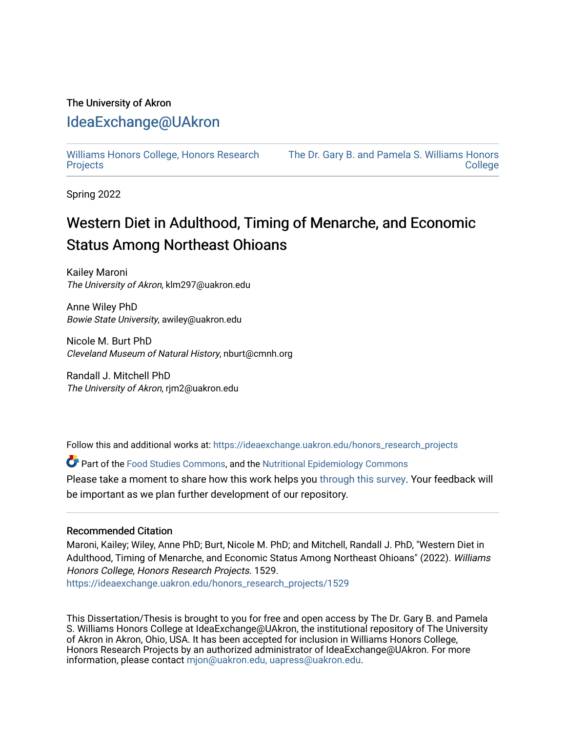## The University of Akron

### [IdeaExchange@UAkron](https://ideaexchange.uakron.edu/)

[Williams Honors College, Honors Research](https://ideaexchange.uakron.edu/honors_research_projects)  **[Projects](https://ideaexchange.uakron.edu/honors_research_projects)** 

[The Dr. Gary B. and Pamela S. Williams Honors](https://ideaexchange.uakron.edu/honorscollege_ideas)  **College** 

Spring 2022

# Western Diet in Adulthood, Timing of Menarche, and Economic Status Among Northeast Ohioans

Kailey Maroni The University of Akron, klm297@uakron.edu

Anne Wiley PhD Bowie State University, awiley@uakron.edu

Nicole M. Burt PhD Cleveland Museum of Natural History, nburt@cmnh.org

Randall J. Mitchell PhD The University of Akron, rjm2@uakron.edu

Follow this and additional works at: [https://ideaexchange.uakron.edu/honors\\_research\\_projects](https://ideaexchange.uakron.edu/honors_research_projects?utm_source=ideaexchange.uakron.edu%2Fhonors_research_projects%2F1529&utm_medium=PDF&utm_campaign=PDFCoverPages) 

Part of the [Food Studies Commons](http://network.bepress.com/hgg/discipline/1386?utm_source=ideaexchange.uakron.edu%2Fhonors_research_projects%2F1529&utm_medium=PDF&utm_campaign=PDFCoverPages), and the [Nutritional Epidemiology Commons](http://network.bepress.com/hgg/discipline/100?utm_source=ideaexchange.uakron.edu%2Fhonors_research_projects%2F1529&utm_medium=PDF&utm_campaign=PDFCoverPages) 

Please take a moment to share how this work helps you [through this survey](http://survey.az1.qualtrics.com/SE/?SID=SV_eEVH54oiCbOw05f&URL=https://ideaexchange.uakron.edu/honors_research_projects/1529). Your feedback will be important as we plan further development of our repository.

#### Recommended Citation

Maroni, Kailey; Wiley, Anne PhD; Burt, Nicole M. PhD; and Mitchell, Randall J. PhD, "Western Diet in Adulthood, Timing of Menarche, and Economic Status Among Northeast Ohioans" (2022). Williams Honors College, Honors Research Projects. 1529.

[https://ideaexchange.uakron.edu/honors\\_research\\_projects/1529](https://ideaexchange.uakron.edu/honors_research_projects/1529?utm_source=ideaexchange.uakron.edu%2Fhonors_research_projects%2F1529&utm_medium=PDF&utm_campaign=PDFCoverPages) 

This Dissertation/Thesis is brought to you for free and open access by The Dr. Gary B. and Pamela S. Williams Honors College at IdeaExchange@UAkron, the institutional repository of The University of Akron in Akron, Ohio, USA. It has been accepted for inclusion in Williams Honors College, Honors Research Projects by an authorized administrator of IdeaExchange@UAkron. For more information, please contact [mjon@uakron.edu, uapress@uakron.edu.](mailto:mjon@uakron.edu,%20uapress@uakron.edu)